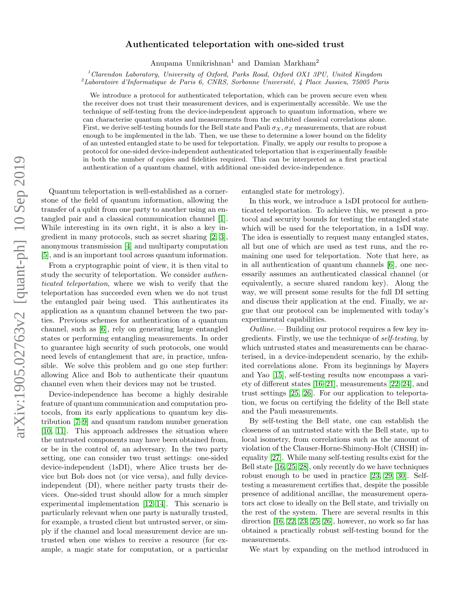# Authenticated teleportation with one-sided trust

Anupama Unnikrishnan<sup>1</sup> and Damian Markham<sup>2</sup>

 $1$ Clarendon Laboratory, University of Oxford, Parks Road, Oxford OX1 3PU, United Kingdom

<span id="page-0-0"></span><sup>2</sup>Laboratoire d'Informatique de Paris 6, CNRS, Sorbonne Université, 4 Place Jussieu, 75005 Paris

We introduce a protocol for authenticated teleportation, which can be proven secure even when the receiver does not trust their measurement devices, and is experimentally accessible. We use the technique of self-testing from the device-independent approach to quantum information, where we can characterise quantum states and measurements from the exhibited classical correlations alone. First, we derive self-testing bounds for the Bell state and Pauli  $\sigma_X$ ,  $\sigma_Z$  measurements, that are robust enough to be implemented in the lab. Then, we use these to determine a lower bound on the fidelity of an untested entangled state to be used for teleportation. Finally, we apply our results to propose a protocol for one-sided device-independent authenticated teleportation that is experimentally feasible in both the number of copies and fidelities required. This can be interpreted as a first practical authentication of a quantum channel, with additional one-sided device-independence.

Quantum teleportation is well-established as a cornerstone of the field of quantum information, allowing the transfer of a qubit from one party to another using an entangled pair and a classical communication channel [\[1\]](#page-4-0). While interesting in its own right, it is also a key ingredient in many protocols, such as secret sharing [\[2,](#page-4-1) [3\]](#page-4-2), anonymous transmission [\[4\]](#page-4-3) and multiparty computation [\[5\]](#page-4-4), and is an important tool across quantum information.

From a cryptographic point of view, it is then vital to study the security of teleportation. We consider authenticated teleportation, where we wish to verify that the teleportation has succeeded even when we do not trust the entangled pair being used. This authenticates its application as a quantum channel between the two parties. Previous schemes for authentication of a quantum channel, such as [\[6\]](#page-4-5), rely on generating large entangled states or performing entangling measurements. In order to guarantee high security of such protocols, one would need levels of entanglement that are, in practice, unfeasible. We solve this problem and go one step further: allowing Alice and Bob to authenticate their quantum channel even when their devices may not be trusted.

Device-independence has become a highly desirable feature of quantum communication and computation protocols, from its early applications to quantum key distribution [\[7–](#page-4-6)[9\]](#page-4-7) and quantum random number generation [\[10,](#page-4-8) [11\]](#page-4-9). This approach addresses the situation where the untrusted components may have been obtained from, or be in the control of, an adversary. In the two party setting, one can consider two trust settings: one-sided device-independent (1sDI), where Alice trusts her device but Bob does not (or vice versa), and fully deviceindependent (DI), where neither party trusts their devices. One-sided trust should allow for a much simpler experimental implementation [\[12–](#page-5-0)[14\]](#page-5-1). This scenario is particularly relevant when one party is naturally trusted, for example, a trusted client but untrusted server, or simply if the channel and local measurement device are untrusted when one wishes to receive a resource (for example, a magic state for computation, or a particular entangled state for metrology).

In this work, we introduce a 1sDI protocol for authenticated teleportation. To achieve this, we present a protocol and security bounds for testing the entangled state which will be used for the teleportation, in a 1sDI way. The idea is essentially to request many entangled states, all but one of which are used as test runs, and the remaining one used for teleportation. Note that here, as in all authentication of quantum channels [\[6\]](#page-4-5), one necessarily assumes an authenticated classical channel (or equivalently, a secure shared random key). Along the way, we will present some results for the full DI setting and discuss their application at the end. Finally, we argue that our protocol can be implemented with today's experimental capabilities.

 $Outline.$  — Building our protocol requires a few key ingredients. Firstly, we use the technique of self-testing, by which untrusted states and measurements can be characterised, in a device-independent scenario, by the exhibited correlations alone. From its beginnings by Mayers and Yao [\[15\]](#page-5-2), self-testing results now encompass a variety of different states [\[16–](#page-5-3)[21\]](#page-5-4), measurements [\[22–](#page-5-5)[24\]](#page-5-6), and trust settings [\[25,](#page-5-7) [26\]](#page-5-8). For our application to teleportation, we focus on certifying the fidelity of the Bell state and the Pauli measurements.

By self-testing the Bell state, one can establish the closeness of an untrusted state with the Bell state, up to local isometry, from correlations such as the amount of violation of the Clauser-Horne-Shimony-Holt (CHSH) inequality [\[27\]](#page-5-9). While many self-testing results exist for the Bell state [\[16,](#page-5-3) [25,](#page-5-7) [28\]](#page-5-10), only recently do we have techniques robust enough to be used in practice [\[23,](#page-5-11) [29,](#page-5-12) [30\]](#page-5-13). Selftesting a measurement certifies that, despite the possible presence of additional ancillae, the measurement operators act close to ideally on the Bell state, and trivially on the rest of the system. There are several results in this direction [\[16,](#page-5-3) [22,](#page-5-5) [23,](#page-5-11) [25,](#page-5-7) [26\]](#page-5-8), however, no work so far has obtained a practically robust self-testing bound for the measurements.

We start by expanding on the method introduced in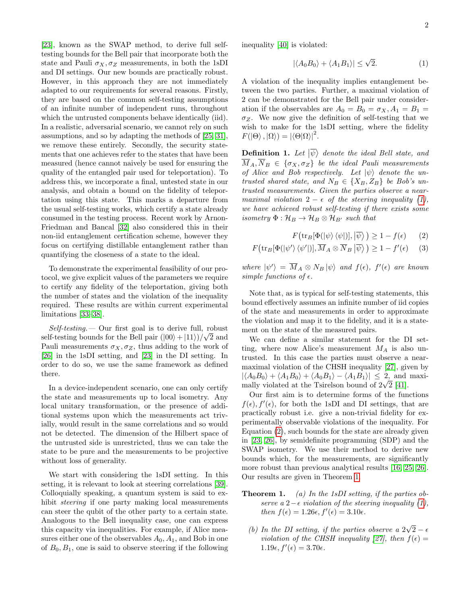[\[23\]](#page-5-11), known as the SWAP method, to derive full selftesting bounds for the Bell pair that incorporate both the state and Pauli  $\sigma_X, \sigma_Z$  measurements, in both the 1sDI and DI settings. Our new bounds are practically robust. However, in this approach they are not immediately adapted to our requirements for several reasons. Firstly, they are based on the common self-testing assumptions of an infinite number of independent runs, throughout which the untrusted components behave identically (iid). In a realistic, adversarial scenario, we cannot rely on such assumptions, and so by adapting the methods of [\[25,](#page-5-7) [31\]](#page-5-14), we remove these entirely. Secondly, the security statements that one achieves refer to the states that have been measured (hence cannot naively be used for ensuring the quality of the entangled pair used for teleportation). To address this, we incorporate a final, untested state in our analysis, and obtain a bound on the fidelity of teleportation using this state. This marks a departure from the usual self-testing works, which certify a state already consumed in the testing process. Recent work by Arnon-Friedman and Bancal [\[32\]](#page-5-15) also considered this in their non-iid entanglement certification scheme, however they focus on certifying distillable entanglement rather than quantifying the closeness of a state to the ideal.

To demonstrate the experimental feasibility of our protocol, we give explicit values of the parameters we require to certify any fidelity of the teleportation, giving both the number of states and the violation of the inequality required. These results are within current experimental limitations [\[33–](#page-5-16)[38\]](#page-5-17).

 $Self-testing. -$  Our first goal is to derive full, robust self-testing bounds for the Bell pair  $(|00\rangle + |11\rangle)/\sqrt{2}$  and Pauli measurements  $\sigma_X, \sigma_Z$ , thus adding to the work of [\[26\]](#page-5-8) in the 1sDI setting, and [\[23\]](#page-5-11) in the DI setting. In order to do so, we use the same framework as defined there.

In a device-independent scenario, one can only certify the state and measurements up to local isometry. Any local unitary transformation, or the presence of additional systems upon which the measurements act trivially, would result in the same correlations and so would not be detected. The dimension of the Hilbert space of the untrusted side is unrestricted, thus we can take the state to be pure and the measurements to be projective without loss of generality.

We start with considering the 1sDI setting. In this setting, it is relevant to look at steering correlations [\[39\]](#page-5-18). Colloquially speaking, a quantum system is said to exhibit steering if one party making local measurements can steer the qubit of the other party to a certain state. Analogous to the Bell inequality case, one can express this capacity via inequalities. For example, if Alice measures either one of the observables  $A_0$ ,  $A_1$ , and Bob in one of  $B_0, B_1$ , one is said to observe steering if the following

inequality [\[40\]](#page-5-19) is violated:

<span id="page-1-0"></span>
$$
|\langle A_0 B_0 \rangle + \langle A_1 B_1 \rangle| \le \sqrt{2}.\tag{1}
$$

A violation of the inequality implies entanglement between the two parties. Further, a maximal violation of 2 can be demonstrated for the Bell pair under consideration if the observables are  $A_0 = B_0 = \sigma_X, A_1 = B_1 =$  $\sigma_Z$ . We now give the definition of self-testing that we wish to make for the 1sDI setting, where the fidelity  $F(|\Theta\rangle, |\Omega\rangle) = |\langle \Theta|\Omega\rangle|^2.$ 

**Definition 1.** Let  $|\overline{\psi}\rangle$  denote the ideal Bell state, and  $\overline{M}_A, \overline{N}_B \in \{\sigma_X, \sigma_Z\}$  be the ideal Pauli measurements of Alice and Bob respectively. Let  $|\psi\rangle$  denote the untrusted shared state, and  $N_B \in \{X_B, Z_B\}$  be Bob's untrusted measurements. Given the parties observe a nearmaximal violation  $2 - \epsilon$  of the steering inequality [\(1\)](#page-1-0), we have achieved robust self-testing if there exists some isometry  $\Phi: \mathcal{H}_B \to \mathcal{H}_B \otimes \mathcal{H}_{B'}$  such that

<span id="page-1-2"></span><span id="page-1-1"></span>
$$
F\big(\text{tr}_B[\Phi(|\psi\rangle\langle\psi|)],|\overline{\psi}\rangle\big) \ge 1 - f(\epsilon) \qquad (2)
$$

$$
F\big(\text{tr}_B[\Phi(|\psi'\rangle\langle\psi'|)], \overline{M}_A \otimes \overline{N}_B|\overline{\psi}\rangle\big) \ge 1 - f'(\epsilon) \qquad (3)
$$

where  $|\psi'\rangle = \overline{M}_A \otimes N_B |\psi\rangle$  and  $f(\epsilon)$ ,  $f'(\epsilon)$  are known simple functions of  $\epsilon$ .

Note that, as is typical for self-testing statements, this bound effectively assumes an infinite number of iid copies of the state and measurements in order to approximate the violation and map it to the fidelity, and it is a statement on the state of the measured pairs.

We can define a similar statement for the DI setting, where now Alice's measurement  $M_A$  is also untrusted. In this case the parties must observe a nearmaximal violation of the CHSH inequality [\[27\]](#page-5-9), given by  $|\langle A_0B_0\rangle + \langle A_1B_0\rangle + \langle A_0B_1\rangle - \langle A_1B_1\rangle| \leq 2$ , and maximally violated at the Tsirelson bound of  $2\sqrt{2}$  [\[41\]](#page-5-20).

Our first aim is to determine forms of the functions  $f(\epsilon)$ ,  $f'(\epsilon)$ , for both the 1sDI and DI settings, that are practically robust i.e. give a non-trivial fidelity for experimentally observable violations of the inequality. For Equation [\(2\)](#page-1-1), such bounds for the state are already given in [\[23,](#page-5-11) [26\]](#page-5-8), by semidefinite programming (SDP) and the SWAP isometry. We use their method to derive new bounds which, for the measurements, are significantly more robust than previous analytical results [\[16,](#page-5-3) [25,](#page-5-7) [26\]](#page-5-8). Our results are given in Theorem [1.](#page-0-0)

- **Theorem 1.** (a) In the 1sDI setting, if the parties observe a 2− $\epsilon$  violation of the steering inequality [\(1\)](#page-1-0), then  $f(\epsilon) = 1.26\epsilon, f'(\epsilon) = 3.10\epsilon$ .
	- (b) In the DI setting, if the parties observe a  $2\sqrt{2} \epsilon$ violation of the CHSH inequality [\[27\]](#page-5-9), then  $f(\epsilon) =$  $1.19\epsilon, f'(\epsilon) = 3.70\epsilon.$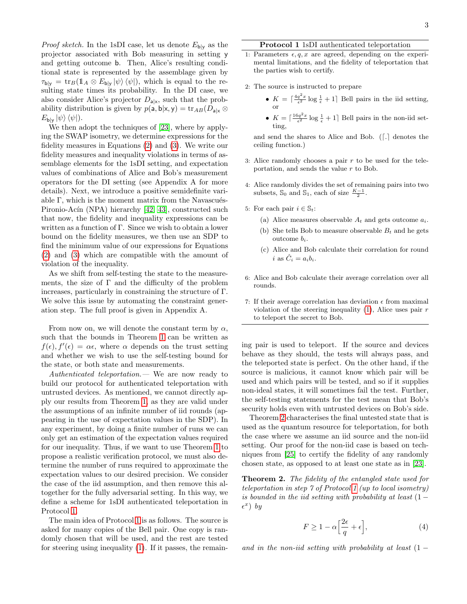*Proof sketch*. In the 1sDI case, let us denote  $E_{\mathsf{b}|y}$  as the projector associated with Bob measuring in setting y and getting outcome b. Then, Alice's resulting conditional state is represented by the assemblage given by  $\tau_{\text{b}|y} = \text{tr}_B(\mathbb{1}_A \otimes E_{\text{b}|y} | \psi \rangle \langle \psi |),$  which is equal to the resulting state times its probability. In the DI case, we also consider Alice's projector  $D_{a|x}$ , such that the probability distribution is given by  $p(\mathsf{a}, \mathsf{b} | \mathsf{x}, \mathsf{y}) = \text{tr}_{AB}(D_{\mathsf{a} | \mathsf{x}} \otimes$  $E_{\mathsf{b}|\mathsf{y}} |\psi\rangle \langle \psi|$ ).

We then adopt the techniques of [\[23\]](#page-5-11), where by applying the SWAP isometry, we determine expressions for the fidelity measures in Equations [\(2\)](#page-1-1) and [\(3\)](#page-1-2). We write our fidelity measures and inequality violations in terms of assemblage elements for the 1sDI setting, and expectation values of combinations of Alice and Bob's measurement operators for the DI setting (see Appendix A for more details). Next, we introduce a positive semidefinite variable  $\Gamma$ , which is the moment matrix from the Navascués-Pironio-Acín (NPA) hierarchy [\[42,](#page-5-21) [43\]](#page-5-22), constructed such that now, the fidelity and inequality expressions can be written as a function of Γ. Since we wish to obtain a lower bound on the fidelity measures, we then use an SDP to find the minimum value of our expressions for Equations [\(2\)](#page-1-1) and [\(3\)](#page-1-2) which are compatible with the amount of violation of the inequality.

As we shift from self-testing the state to the measurements, the size of  $\Gamma$  and the difficulty of the problem increases, particularly in constraining the structure of Γ. We solve this issue by automating the constraint generation step. The full proof is given in Appendix A.

From now on, we will denote the constant term by  $\alpha$ , such that the bounds in Theorem [1](#page-0-0) can be written as  $f(\epsilon)$ ,  $f'(\epsilon) = \alpha \epsilon$ , where  $\alpha$  depends on the trust setting and whether we wish to use the self-testing bound for the state, or both state and measurements.

Authenticated teleportation. — We are now ready to build our protocol for authenticated teleportation with untrusted devices. As mentioned, we cannot directly apply our results from Theorem [1,](#page-0-0) as they are valid under the assumptions of an infinite number of iid rounds (appearing in the use of expectation values in the SDP). In any experiment, by doing a finite number of runs we can only get an estimation of the expectation values required for our inequality. Thus, if we want to use Theorem [1](#page-0-0) to propose a realistic verification protocol, we must also determine the number of runs required to approximate the expectation values to our desired precision. We consider the case of the iid assumption, and then remove this altogether for the fully adversarial setting. In this way, we define a scheme for 1sDI authenticated teleportation in Protocol [1.](#page-2-0)

The main idea of Protocol [1](#page-2-0) is as follows. The source is asked for many copies of the Bell pair. One copy is randomly chosen that will be used, and the rest are tested for steering using inequality [\(1\)](#page-1-0). If it passes, the remain-

### Protocol 1 1sDI authenticated teleportation

- 1: Parameters  $\epsilon, q, x$  are agreed, depending on the experimental limitations, and the fidelity of teleportation that the parties wish to certify.
- 2: The source is instructed to prepare
	- $K = \lceil \frac{4q^2x}{\epsilon^2} \log \frac{1}{\epsilon} + 1 \rceil$  Bell pairs in the iid setting, or
	- $K = \lceil \frac{16q^2x}{\epsilon^2} \log \frac{1}{\epsilon} + 1 \rceil$  Bell pairs in the non-iid setting,

and send the shares to Alice and Bob.  $\lfloor \cdot \rfloor$  denotes the ceiling function.)

- 3: Alice randomly chooses a pair  $r$  to be used for the teleportation, and sends the value r to Bob.
- 4: Alice randomly divides the set of remaining pairs into two subsets,  $\mathbb{S}_0$  and  $\mathbb{S}_1$ , each of size  $\frac{K-1}{2}$ .
- 5: For each pair  $i \in \mathbb{S}_t$ :
	- (a) Alice measures observable  $A_t$  and gets outcome  $a_i$ .
	- (b) She tells Bob to measure observable  $B_t$  and he gets outcome  $b_i$ .
	- (c) Alice and Bob calculate their correlation for round i as  $\hat{C}_i = a_i b_i$ .
- 6: Alice and Bob calculate their average correlation over all rounds.
- <span id="page-2-0"></span>7: If their average correlation has deviation  $\epsilon$  from maximal violation of the steering inequality  $(1)$ , Alice uses pair r to teleport the secret to Bob.

ing pair is used to teleport. If the source and devices behave as they should, the tests will always pass, and the teleported state is perfect. On the other hand, if the source is malicious, it cannot know which pair will be used and which pairs will be tested, and so if it supplies non-ideal states, it will sometimes fail the test. Further, the self-testing statements for the test mean that Bob's security holds even with untrusted devices on Bob's side.

Theorem [2](#page-9-0) characterises the final untested state that is used as the quantum resource for teleportation, for both the case where we assume an iid source and the non-iid setting. Our proof for the non-iid case is based on techniques from [\[25\]](#page-5-7) to certify the fidelity of any randomly chosen state, as opposed to at least one state as in [\[23\]](#page-5-11).

Theorem 2. The fidelity of the entangled state used for teleportation in step 7 of Protocol [1](#page-2-0) (up to local isometry) is bounded in the iid setting with probability at least  $(1 \epsilon^x$ ) by

$$
F \ge 1 - \alpha \left[ \frac{2\epsilon}{q} + \epsilon \right],\tag{4}
$$

and in the non-iid setting with probability at least  $(1 -$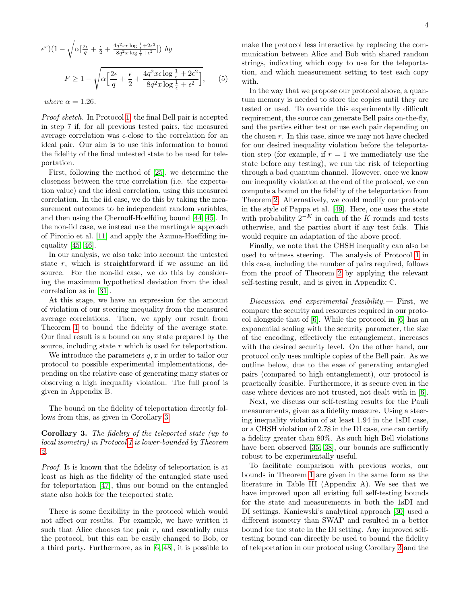$$
\epsilon^x (1 - \sqrt{\alpha \left[ \frac{2\epsilon}{q} + \frac{\epsilon}{2} + \frac{4q^2x\epsilon \log \frac{1}{\epsilon} + 2\epsilon^2}{8q^2x \log \frac{1}{\epsilon} + \epsilon^2} \right]}) \, by
$$

$$
F \ge 1 - \sqrt{\alpha \left[ \frac{2\epsilon}{q} + \frac{\epsilon}{2} + \frac{4q^2x\epsilon \log \frac{1}{\epsilon} + 2\epsilon^2}{8q^2x \log \frac{1}{\epsilon} + \epsilon^2} \right]},\qquad(5)
$$

where  $\alpha = 1.26$ .

Proof sketch. In Protocol [1,](#page-2-0) the final Bell pair is accepted in step 7 if, for all previous tested pairs, the measured average correlation was  $\epsilon$ -close to the correlation for an ideal pair. Our aim is to use this information to bound the fidelity of the final untested state to be used for teleportation.

First, following the method of [\[25\]](#page-5-7), we determine the closeness between the true correlation (i.e. the expectation value) and the ideal correlation, using this measured correlation. In the iid case, we do this by taking the measurement outcomes to be independent random variables, and then using the Chernoff-Hoeffding bound [\[44,](#page-5-23) [45\]](#page-5-24). In the non-iid case, we instead use the martingale approach of Pironio et al. [\[11\]](#page-4-9) and apply the Azuma-Hoeffding inequality [\[45,](#page-5-24) [46\]](#page-5-25).

In our analysis, we also take into account the untested state r, which is straightforward if we assume an iid source. For the non-iid case, we do this by considering the maximum hypothetical deviation from the ideal correlation as in [\[31\]](#page-5-14).

At this stage, we have an expression for the amount of violation of our steering inequality from the measured average correlations. Then, we apply our result from Theorem [1](#page-0-0) to bound the fidelity of the average state. Our final result is a bound on any state prepared by the source, including state r which is used for teleportation.

We introduce the parameters  $q, x$  in order to tailor our protocol to possible experimental implementations, depending on the relative ease of generating many states or observing a high inequality violation. The full proof is given in Appendix B.

The bound on the fidelity of teleportation directly follows from this, as given in Corollary [3.](#page-3-0)

# <span id="page-3-0"></span>Corollary 3. The fidelity of the teleported state (up to local isometry) in Protocol [1](#page-2-0) is lower-bounded by Theorem [2.](#page-9-0)

Proof. It is known that the fidelity of teleportation is at least as high as the fidelity of the entangled state used for teleportation [\[47\]](#page-6-0), thus our bound on the entangled state also holds for the teleported state.

There is some flexibility in the protocol which would not affect our results. For example, we have written it such that Alice chooses the pair  $r$ , and essentially runs the protocol, but this can be easily changed to Bob, or a third party. Furthermore, as in [\[6,](#page-4-5) [48\]](#page-6-1), it is possible to make the protocol less interactive by replacing the communication between Alice and Bob with shared random strings, indicating which copy to use for the teleportation, and which measurement setting to test each copy with.

In the way that we propose our protocol above, a quantum memory is needed to store the copies until they are tested or used. To override this experimentally difficult requirement, the source can generate Bell pairs on-the-fly, and the parties either test or use each pair depending on the chosen  $r$ . In this case, since we may not have checked for our desired inequality violation before the teleportation step (for example, if  $r = 1$  we immediately use the state before any testing), we run the risk of teleporting through a bad quantum channel. However, once we know our inequality violation at the end of the protocol, we can compute a bound on the fidelity of the teleportation from Theorem [2.](#page-9-0) Alternatively, we could modify our protocol in the style of Pappa et al. [\[49\]](#page-6-2). Here, one uses the state with probability  $2^{-K}$  in each of the K rounds and tests otherwise, and the parties abort if any test fails. This would require an adaptation of the above proof.

Finally, we note that the CHSH inequality can also be used to witness steering. The analysis of Protocol [1](#page-2-0) in this case, including the number of pairs required, follows from the proof of Theorem [2](#page-9-0) by applying the relevant self-testing result, and is given in Appendix C.

 $Discussion$  and experimental feasibility.  $-$  First, we compare the security and resources required in our protocol alongside that of [\[6\]](#page-4-5). While the protocol in [\[6\]](#page-4-5) has an exponential scaling with the security parameter, the size of the encoding, effectively the entanglement, increases with the desired security level. On the other hand, our protocol only uses multiple copies of the Bell pair. As we outline below, due to the ease of generating entangled pairs (compared to high entanglement), our protocol is practically feasible. Furthermore, it is secure even in the case where devices are not trusted, not dealt with in [\[6\]](#page-4-5).

Next, we discuss our self-testing results for the Pauli measurements, given as a fidelity measure. Using a steering inequality violation of at least 1.94 in the 1sDI case, or a CHSH violation of 2.78 in the DI case, one can certify a fidelity greater than 80%. As such high Bell violations have been observed [\[35,](#page-5-26) [38\]](#page-5-17), our bounds are sufficiently robust to be experimentally useful.

To facilitate comparison with previous works, our bounds in Theorem [1](#page-0-0) are given in the same form as the literature in Table III (Appendix A). We see that we have improved upon all existing full self-testing bounds for the state and measurements in both the 1sDI and DI settings. Kaniewski's analytical approach [\[30\]](#page-5-13) used a different isometry than SWAP and resulted in a better bound for the state in the DI setting. Any improved selftesting bound can directly be used to bound the fidelity of teleportation in our protocol using Corollary [3](#page-3-0) and the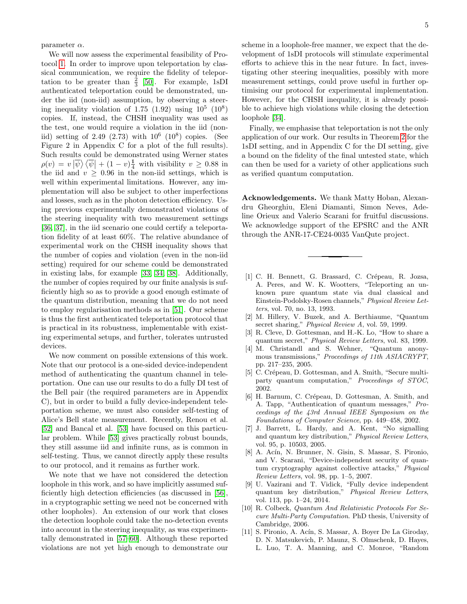parameter  $\alpha$ .

We will now assess the experimental feasibility of Protocol [1.](#page-2-0) In order to improve upon teleportation by classical communication, we require the fidelity of teleportation to be greater than  $\frac{2}{3}$  [\[50\]](#page-6-3). For example, 1sDI authenticated teleportation could be demonstrated, under the iid (non-iid) assumption, by observing a steering inequality violation of 1.75  $(1.92)$  using  $10^5$   $(10^8)$ copies. If, instead, the CHSH inequality was used as the test, one would require a violation in the iid (noniid) setting of 2.49  $(2.73)$  with  $10^6$   $(10^8)$  copies. (See Figure 2 in Appendix C for a plot of the full results). Such results could be demonstrated using Werner states  $\rho(v) = v \, |\overline{\psi}\rangle \langle \overline{\psi}| + (1 - v) \frac{1}{4}$  with visibility  $v \ge 0.88$  in the iid and  $v \geq 0.96$  in the non-iid settings, which is well within experimental limitations. However, any implementation will also be subject to other imperfections and losses, such as in the photon detection efficiency. Using previous experimentally demonstrated violations of the steering inequality with two measurement settings [\[36,](#page-5-27) [37\]](#page-5-28), in the iid scenario one could certify a teleportation fidelity of at least 60%. The relative abundance of experimental work on the CHSH inequality shows that the number of copies and violation (even in the non-iid setting) required for our scheme could be demonstrated in existing labs, for example [\[33,](#page-5-16) [34,](#page-5-29) [38\]](#page-5-17). Additionally, the number of copies required by our finite analysis is sufficiently high so as to provide a good enough estimate of the quantum distribution, meaning that we do not need to employ regularisation methods as in [\[51\]](#page-6-4). Our scheme is thus the first authenticated teleportation protocol that is practical in its robustness, implementable with existing experimental setups, and further, tolerates untrusted devices.

We now comment on possible extensions of this work. Note that our protocol is a one-sided device-independent method of authenticating the quantum channel in teleportation. One can use our results to do a fully DI test of the Bell pair (the required parameters are in Appendix C), but in order to build a fully device-independent teleportation scheme, we must also consider self-testing of Alice's Bell state measurement. Recently, Renou et al. [\[52\]](#page-6-5) and Bancal et al. [\[53\]](#page-6-6) have focused on this particular problem. While [\[53\]](#page-6-6) gives practically robust bounds, they still assume iid and infinite runs, as is common in self-testing. Thus, we cannot directly apply these results to our protocol, and it remains as further work.

We note that we have not considered the detection loophole in this work, and so have implicitly assumed sufficiently high detection efficiencies (as discussed in [\[56\]](#page-6-7), in a cryptographic setting we need not be concerned with other loopholes). An extension of our work that closes the detection loophole could take the no-detection events into account in the steering inequality, as was experimentally demonstrated in [\[57](#page-6-8)[–60\]](#page-6-9). Although these reported violations are not yet high enough to demonstrate our scheme in a loophole-free manner, we expect that the development of 1sDI protocols will stimulate experimental efforts to achieve this in the near future. In fact, investigating other steering inequalities, possibly with more measurement settings, could prove useful in further optimising our protocol for experimental implementation. However, for the CHSH inequality, it is already possible to achieve high violations while closing the detection loophole [\[34\]](#page-5-29).

Finally, we emphasise that teleportation is not the only application of our work. Our results in Theorem [2](#page-9-0) for the 1sDI setting, and in Appendix C for the DI setting, give a bound on the fidelity of the final untested state, which can then be used for a variety of other applications such as verified quantum computation.

Acknowledgements. We thank Matty Hoban, Alexandru Gheorghiu, Eleni Diamanti, Simon Neves, Adeline Orieux and Valerio Scarani for fruitful discussions. We acknowledge support of the EPSRC and the ANR through the ANR-17-CE24-0035 VanQute project.

- <span id="page-4-0"></span>[1] C. H. Bennett, G. Brassard, C. Crépeau, R. Jozsa, A. Peres, and W. K. Wootters, "Teleporting an unknown pure quantum state via dual classical and Einstein-Podolsky-Rosen channels," Physical Review Letters, vol. 70, no. 13, 1993.
- <span id="page-4-1"></span>[2] M. Hillery, V. Buzek, and A. Berthiaume, "Quantum secret sharing," *Physical Review A*, vol. 59, 1999.
- <span id="page-4-2"></span>[3] R. Cleve, D. Gottesman, and H.-K. Lo, "How to share a quantum secret," Physical Review Letters, vol. 83, 1999.
- <span id="page-4-3"></span>[4] M. Christandl and S. Wehner, "Quantum anonymous transmissions," Proceedings of 11th ASIACRYPT, pp. 217–235, 2005.
- <span id="page-4-4"></span>[5] C. Crépeau, D. Gottesman, and A. Smith, "Secure multiparty quantum computation," Proceedings of STOC, 2002.
- <span id="page-4-5"></span>[6] H. Barnum, C. Crépeau, D. Gottesman, A. Smith, and A. Tapp, "Authentication of quantum messages," Proceedings of the 43rd Annual IEEE Symposium on the Foundations of Computer Science, pp. 449–458, 2002.
- <span id="page-4-6"></span>[7] J. Barrett, L. Hardy, and A. Kent, "No signalling and quantum key distribution," Physical Review Letters, vol. 95, p. 10503, 2005.
- [8] A. Acín, N. Brunner, N. Gisin, S. Massar, S. Pironio, and V. Scarani, "Device-independent security of quantum cryptography against collective attacks," Physical Review Letters, vol. 98, pp. 1–5, 2007.
- <span id="page-4-7"></span>[9] U. Vazirani and T. Vidick, "Fully device independent quantum key distribution," Physical Review Letters, vol. 113, pp. 1–24, 2014.
- <span id="page-4-8"></span>[10] R. Colbeck, *Quantum And Relativistic Protocols For Se*cure Multi-Party Computation. PhD thesis, University of Cambridge, 2006.
- <span id="page-4-9"></span>[11] S. Pironio, A. Acín, S. Massar, A. Boyer De La Giroday, D. N. Matsukevich, P. Maunz, S. Olmschenk, D. Hayes, L. Luo, T. A. Manning, and C. Monroe, "Random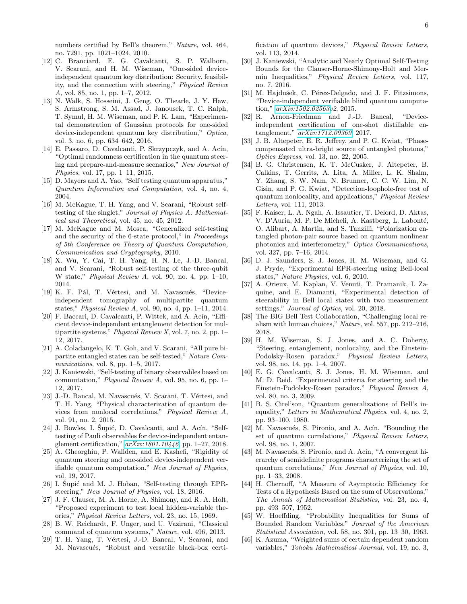numbers certified by Bell's theorem," Nature, vol. 464, no. 7291, pp. 1021–1024, 2010.

- <span id="page-5-0"></span>[12] C. Branciard, E. G. Cavalcanti, S. P. Walborn, V. Scarani, and H. M. Wiseman, "One-sided deviceindependent quantum key distribution: Security, feasibility, and the connection with steering," Physical Review A, vol. 85, no. 1, pp. 1–7, 2012.
- [13] N. Walk, S. Hosseini, J. Geng, O. Thearle, J. Y. Haw, S. Armstrong, S. M. Assad, J. Janousek, T. C. Ralph, T. Symul, H. M. Wiseman, and P. K. Lam, "Experimental demonstration of Gaussian protocols for one-sided device-independent quantum key distribution," Optica, vol. 3, no. 6, pp. 634–642, 2016.
- <span id="page-5-1"></span>[14] E. Passaro, D. Cavalcanti, P. Skrzypczyk, and A. Acín, "Optimal randomness certification in the quantum steering and prepare-and-measure scenarios," New Journal of Physics, vol. 17, pp. 1–11, 2015.
- <span id="page-5-2"></span>[15] D. Mayers and A. Yao, "Self testing quantum apparatus," Quantum Information and Computation, vol. 4, no. 4, 2004.
- <span id="page-5-3"></span>[16] M. McKague, T. H. Yang, and V. Scarani, "Robust selftesting of the singlet," Journal of Physics A: Mathematical and Theoretical, vol. 45, no. 45, 2012.
- [17] M. McKague and M. Mosca, "Generalized self-testing and the security of the 6-state protocol," in Proceedings of 5th Conference on Theory of Quantum Computation, Communication and Cryptography, 2010.
- [18] X. Wu, Y. Cai, T. H. Yang, H. N. Le, J.-D. Bancal, and V. Scarani, "Robust self-testing of the three-qubit W state," Physical Review A, vol. 90, no. 4, pp. 1–10, 2014.
- [19] K. F. Pál, T. Vértesi, and M. Navascués, "Deviceindependent tomography of multipartite quantum states," Physical Review A, vol. 90, no. 4, pp. 1–11, 2014.
- [20] F. Baccari, D. Cavalcanti, P. Wittek, and A. Acín, "Efficient device-independent entanglement detection for multipartite systems," Physical Review X, vol. 7, no. 2, pp. 1– 12, 2017.
- <span id="page-5-4"></span>[21] A. Coladangelo, K. T. Goh, and V. Scarani, "All pure bipartite entangled states can be self-tested," Nature Communications, vol. 8, pp. 1–5, 2017.
- <span id="page-5-5"></span>[22] J. Kaniewski, "Self-testing of binary observables based on commutation," Physical Review A, vol. 95, no. 6, pp. 1– 12, 2017.
- <span id="page-5-11"></span>[23] J.-D. Bancal, M. Navascués, V. Scarani, T. Vértesi, and T. H. Yang, "Physical characterization of quantum devices from nonlocal correlations," Physical Review A, vol. 91, no. 2, 2015.
- <span id="page-5-6"></span>[24] J. Bowles, I. Šupić, D. Cavalcanti, and A. Acín, "Selftesting of Pauli observables for device-independent entanglement certification," [arXiv:1801.10446](http://arxiv.org/abs/1801.10446), pp. 1–27, 2018.
- <span id="page-5-7"></span>[25] A. Gheorghiu, P. Wallden, and E. Kashefi, "Rigidity of quantum steering and one-sided device-independent verifiable quantum computation," New Journal of Physics, vol. 19, 2017.
- <span id="page-5-8"></span>[26] I. Šupić and M. J. Hoban, "Self-testing through EPRsteering," New Journal of Physics, vol. 18, 2016.
- <span id="page-5-9"></span>[27] J. F. Clauser, M. A. Horne, A. Shimony, and R. A. Holt, "Proposed experiment to test local hidden-variable theories," Physical Review Letters, vol. 23, no. 15, 1969.
- <span id="page-5-10"></span>[28] B. W. Reichardt, F. Unger, and U. Vazirani, "Classical command of quantum systems," Nature, vol. 496, 2013.
- <span id="page-5-12"></span>[29] T. H. Yang, T. Vértesi, J.-D. Bancal, V. Scarani, and M. Navascués, "Robust and versatile black-box certi-

fication of quantum devices," Physical Review Letters, vol. 113, 2014.

- <span id="page-5-13"></span>[30] J. Kaniewski, "Analytic and Nearly Optimal Self-Testing Bounds for the Clauser-Horne-Shimony-Holt and Mermin Inequalities," Physical Review Letters, vol. 117, no. 7, 2016.
- <span id="page-5-14"></span>[31] M. Hajdušek, C. Pérez-Delgado, and J. F. Fitzsimons, "Device-independent verifiable blind quantum computation," [arXiv:1502.02563v](http://arxiv.org/abs/1502.02563)2, 2015.
- <span id="page-5-15"></span>[32] R. Arnon-Friedman and J.-D. Bancal, "Deviceindependent certification of one-shot distillable entanglement," [arXiv:1712.09369](http://arxiv.org/abs/1712.09369), 2017.
- <span id="page-5-16"></span>[33] J. B. Altepeter, E. R. Jeffrey, and P. G. Kwiat, "Phasecompensated ultra-bright source of entangled photons," Optics Express, vol. 13, no. 22, 2005.
- <span id="page-5-29"></span>[34] B. G. Christensen, K. T. McCusker, J. Altepeter, B. Calkins, T. Gerrits, A. Lita, A. Miller, L. K. Shalm, Y. Zhang, S. W. Nam, N. Brunner, C. C. W. Lim, N. Gisin, and P. G. Kwiat, "Detection-loophole-free test of quantum nonlocality, and applications," Physical Review Letters, vol. 111, 2013.
- <span id="page-5-26"></span>[35] F. Kaiser, L. A. Ngah, A. Issautier, T. Delord, D. Aktas, V. D'Auria, M. P. De Micheli, A. Kastberg, L. Labonté, O. Alibart, A. Martin, and S. Tanzilli, "Polarization entangled photon-pair source based on quantum nonlinear photonics and interferometry," Optics Communications, vol. 327, pp. 7–16, 2014.
- <span id="page-5-27"></span>[36] D. J. Saunders, S. J. Jones, H. M. Wiseman, and G. J. Pryde, "Experimental EPR-steering using Bell-local states," Nature Physics, vol. 6, 2010.
- <span id="page-5-28"></span>[37] A. Orieux, M. Kaplan, V. Venuti, T. Pramanik, I. Zaquine, and E. Diamanti, "Experimental detection of steerability in Bell local states with two measurement settings," Journal of Optics, vol. 20, 2018.
- <span id="page-5-17"></span>[38] The BIG Bell Test Collaboration, "Challenging local realism with human choices," Nature, vol. 557, pp. 212–216, 2018.
- <span id="page-5-18"></span>[39] H. M. Wiseman, S. J. Jones, and A. C. Doherty, "Steering, entanglement, nonlocality, and the Einstein-Podolsky-Rosen paradox," Physical Review Letters, vol. 98, no. 14, pp. 1–4, 2007.
- <span id="page-5-19"></span>[40] E. G. Cavalcanti, S. J. Jones, H. M. Wiseman, and M. D. Reid, "Experimental criteria for steering and the Einstein-Podolsky-Rosen paradox," Physical Review A, vol. 80, no. 3, 2009.
- <span id="page-5-20"></span>[41] B. S. Cirel'son, "Quantum generalizations of Bell's inequality," Letters in Mathematical Physics, vol. 4, no. 2, pp. 93–100, 1980.
- <span id="page-5-21"></span>[42] M. Navascués, S. Pironio, and A. Acín, "Bounding the set of quantum correlations," Physical Review Letters, vol. 98, no. 1, 2007.
- <span id="page-5-22"></span>[43] M. Navascués, S. Pironio, and A. Acín, "A convergent hierarchy of semidefinite programs characterizing the set of quantum correlations," New Journal of Physics, vol. 10, pp. 1–33, 2008.
- <span id="page-5-23"></span>[44] H. Chernoff, "A Measure of Asymptotic Efficiency for Tests of a Hypothesis Based on the sum of Observations," The Annals of Mathematical Statistics, vol. 23, no. 4, pp. 493–507, 1952.
- <span id="page-5-24"></span>[45] W. Hoeffding, "Probability Inequalities for Sums of Bounded Random Variables," Journal of the American Statistical Association, vol. 58, no. 301, pp. 13–30, 1963.
- <span id="page-5-25"></span>[46] K. Azuma, "Weighted sums of certain dependent random variables," Tohoku Mathematical Journal, vol. 19, no. 3,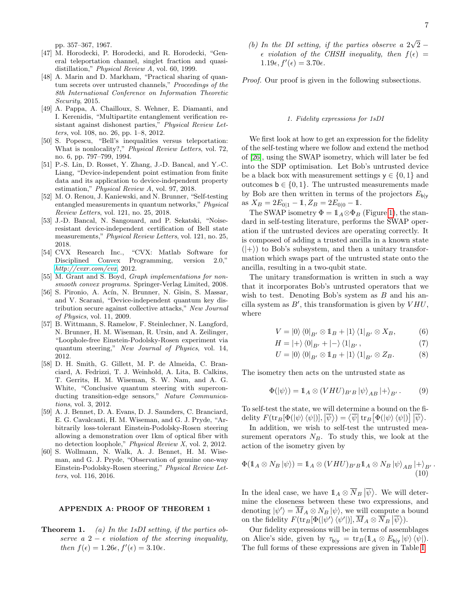pp. 357–367, 1967.

- <span id="page-6-0"></span>[47] M. Horodecki, P. Horodecki, and R. Horodecki, "General teleportation channel, singlet fraction and quasidistillation," Physical Review A, vol. 60, 1999.
- <span id="page-6-1"></span>[48] A. Marin and D. Markham, "Practical sharing of quantum secrets over untrusted channels," Proceedings of the 8th International Conference on Information Theoretic Security, 2015.
- <span id="page-6-2"></span>[49] A. Pappa, A. Chailloux, S. Wehner, E. Diamanti, and I. Kerenidis, "Multipartite entanglement verification resistant against dishonest parties," Physical Review Letters, vol. 108, no. 26, pp. 1–8, 2012.
- <span id="page-6-3"></span>[50] S. Popescu, "Bell's inequalities versus teleportation: What is nonlocality?," Physical Review Letters, vol. 72, no. 6, pp. 797–799, 1994.
- <span id="page-6-4"></span>[51] P.-S. Lin, D. Rosset, Y. Zhang, J.-D. Bancal, and Y.-C. Liang, "Device-independent point estimation from finite data and its application to device-independent property estimation," Physical Review A, vol. 97, 2018.
- <span id="page-6-5"></span>[52] M. O. Renou, J. Kaniewski, and N. Brunner, "Self-testing entangled measurements in quantum networks," Physical Review Letters, vol. 121, no. 25, 2018.
- <span id="page-6-6"></span>[53] J.-D. Bancal, N. Sangouard, and P. Sekatski, "Noiseresistant device-independent certification of Bell state measurements," Physical Review Letters, vol. 121, no. 25, 2018.
- <span id="page-6-10"></span>[54] CVX Research Inc., "CVX: Matlab Software for Disciplined Convex Programming, version 2.0,"  $http://cvxr.com/cvx, 2012.$  $http://cvxr.com/cvx, 2012.$
- <span id="page-6-11"></span>[55] M. Grant and S. Boyd, *Graph implementations for non*smooth convex programs. Springer-Verlag Limited, 2008.
- <span id="page-6-7"></span>[56] S. Pironio, A. Acín, N. Brunner, N. Gisin, S. Massar, and V. Scarani, "Device-independent quantum key distribution secure against collective attacks," New Journal of Physics, vol. 11, 2009.
- <span id="page-6-8"></span>[57] B. Wittmann, S. Ramelow, F. Steinlechner, N. Langford, N. Brunner, H. M. Wiseman, R. Ursin, and A. Zeilinger, "Loophole-free Einstein-Podolsky-Rosen experiment via quantum steering," New Journal of Physics, vol. 14, 2012.
- [58] D. H. Smith, G. Gillett, M. P. de Almeida, C. Branciard, A. Fedrizzi, T. J. Weinhold, A. Lita, B. Calkins, T. Gerrits, H. M. Wiseman, S. W. Nam, and A. G. White, "Conclusive quantum steering with superconducting transition-edge sensors," Nature Communications, vol. 3, 2012.
- [59] A. J. Bennet, D. A. Evans, D. J. Saunders, C. Branciard, E. G. Cavalcanti, H. M. Wiseman, and G. J. Pryde, "Arbitrarily loss-tolerant Einstein-Podolsky-Rosen steering allowing a demonstration over 1km of optical fiber with no detection loophole," Physical Review X, vol. 2, 2012.
- <span id="page-6-9"></span>[60] S. Wollmann, N. Walk, A. J. Bennet, H. M. Wiseman, and G. J. Pryde, "Observation of genuine one-way Einstein-Podolsky-Rosen steering," Physical Review Letters, vol. 116, 2016.

#### APPENDIX A: PROOF OF THEOREM 1

**Theorem 1.** (a) In the 1sDI setting, if the parties observe a 2  $- \epsilon$  violation of the steering inequality, then  $f(\epsilon) = 1.26\epsilon, f'(\epsilon) = 3.10\epsilon$ .

(b) In the DI setting, if the parties observe a  $2\sqrt{2}$  –  $\epsilon$  violation of the CHSH inequality, then  $f(\epsilon)$  =  $1.19\epsilon, f'(\epsilon) = 3.70\epsilon.$ 

Proof. Our proof is given in the following subsections.

### 1. Fidelity expressions for 1sDI

We first look at how to get an expression for the fidelity of the self-testing where we follow and extend the method of [\[26\]](#page-5-8), using the SWAP isometry, which will later be fed into the SDP optimisation. Let Bob's untrusted device be a black box with measurement settings  $y \in \{0, 1\}$  and outcomes  $\mathbf{b} \in \{0, 1\}$ . The untrusted measurements made by Bob are then written in terms of the projectors  $E_{\text{blv}}$ as  $X_B = 2E_{0|1} - 1$ ,  $Z_B = 2E_{0|0} - 1$ .

The SWAP isometry  $\Phi = \mathbb{1}_A \otimes \Phi_B$  (Figure [1\)](#page-7-0), the standard in self-testing literature, performs the SWAP operation if the untrusted devices are operating correctly. It is composed of adding a trusted ancilla in a known state  $(|+\rangle)$  to Bob's subsystem, and then a unitary transformation which swaps part of the untrusted state onto the ancilla, resulting in a two-qubit state.

The unitary transformation is written in such a way that it incorporates Bob's untrusted operators that we wish to test. Denoting Bob's system as  $B$  and his ancilla system as  $B'$ , this transformation is given by  $VHU$ , where

$$
V = |0\rangle \langle 0|_{B'} \otimes 1 \, B + |1\rangle \langle 1|_{B'} \otimes X_B, \tag{6}
$$

$$
H = |+\rangle \langle 0|_{B'} + |-\rangle \langle 1|_{B'}, \qquad (7)
$$

$$
U = |0\rangle \langle 0|_{B'} \otimes 1 \, B + |1\rangle \langle 1|_{B'} \otimes Z_B. \tag{8}
$$

The isometry then acts on the untrusted state as

$$
\Phi(|\psi\rangle) = \mathbb{1}_A \otimes (VHU)_{B'B} |\psi\rangle_{AB} |+\rangle_{B'}.
$$
 (9)

To self-test the state, we will determine a bound on the fidelity  $F(\text{tr}_B[\Phi(|\psi\rangle \langle \psi|)], |\overline{\psi}\rangle) = \langle \overline{\psi} | \text{tr}_B[\Phi(|\psi\rangle \langle \psi|)] | \overline{\psi}\rangle.$ 

In addition, we wish to self-test the untrusted measurement operators  $N_B$ . To study this, we look at the action of the isometry given by

$$
\Phi(\mathbb{1}_A \otimes N_B |\psi\rangle) = \mathbb{1}_A \otimes (VHU)_{B'B}\mathbb{1}_A \otimes N_B |\psi\rangle_{AB} |+\rangle_{B'}.
$$
\n(10)

In the ideal case, we have  $1_A \otimes \overline{N}_B |\overline{\psi}\rangle$ . We will determine the closeness between these two expressions, and denoting  $|\psi'\rangle = \overline{M}_A \otimes N_B |\psi\rangle$ , we will compute a bound on the fidelity  $F(\text{tr}_B[\Phi(|\psi'\rangle\langle\psi'|)], \overline{M}_A \otimes \overline{N}_B |\overline{\psi}\rangle).$ 

Our fidelity expressions will be in terms of assemblages on Alice's side, given by  $\tau_{\mathsf{b}\vert\mathsf{y}} = \text{tr}_B(\mathbb{1}_A \otimes E_{\mathsf{b}\vert\mathsf{y}} |\psi\rangle \langle \psi|).$ The full forms of these expressions are given in Table [I.](#page-7-1)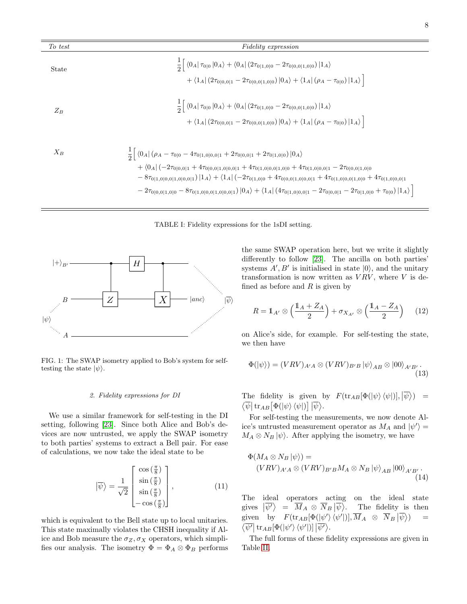| To test | <i>Fidelity expression</i>                                                                                                                                                                                                                                                                                                                                                                                                                                                                                                                                                                      |  |  |  |  |  |
|---------|-------------------------------------------------------------------------------------------------------------------------------------------------------------------------------------------------------------------------------------------------------------------------------------------------------------------------------------------------------------------------------------------------------------------------------------------------------------------------------------------------------------------------------------------------------------------------------------------------|--|--|--|--|--|
| State   | $\frac{1}{2}\left[\left(0_A \tau_{0 0} 0_A\right)+\left(0_A \left(2\tau_{0 1,0 0}-2\tau_{0 0,0 1,0 0}\right) 1_A\right)\right]$<br>+ $\langle 1_A   (2\tau_{0 0,0 1} - 2\tau_{0 0,0 1,0 0})  0_A\rangle + \langle 1_A   (\rho_A - \tau_{0 0})  1_A\rangle$                                                                                                                                                                                                                                                                                                                                      |  |  |  |  |  |
| $Z_B$   | $\frac{1}{2} \left  \left\langle 0_A \right  \tau_{0 0}  0_A \rangle + \left\langle 0_A \right  (2 \tau_{0 1,0 0} - 2 \tau_{0 0,0 1,0 0})  1_A \rangle \right $<br>$+ \langle 1_A   (2\tau_{0 0,0 1} - 2\tau_{0 0,0 1,0 0})  0_A \rangle + \langle 1_A   (\rho_A - \tau_{0 0})  1_A \rangle \Big]$                                                                                                                                                                                                                                                                                              |  |  |  |  |  |
| $X_B$   | $\frac{1}{2}\left[\left\langle 0_A\right \left(\rho_A-\tau_{0 0}-4\tau_{0 1,0 0,0 1}+2\tau_{0 0,0 1}+2\tau_{0 1,0 0}\right)\right 0_A\right]$<br>$+ \langle 0_A   (-2\tau_{0 0,0 1} + 4\tau_{0 0,0 1,0 0,0 1} + 4\tau_{0 1,0 0,0 1,0 0} + 4\tau_{0 1,0 0,0 1} - 2\tau_{0 0,0 1,0 0}$<br>$-8\tau_{0 1,0 0,0 1,0 0,0 1}) 1_A\rangle+\langle1_A (-2\tau_{0 1,0 0}+4\tau_{0 0,0 1,0 0,0 1}+4\tau_{0 1,0 0,0 1,0 0}+4\tau_{0 1,0 0,0 1}$<br>$-2\tau_{0 0,0 1,0 0}-8\tau_{0 1,0 0,0 1,0 0,0 1}) 0_A\rangle+\langle1_A  (4\tau_{0 1,0 0,0 1}-2\tau_{0 0,0 1}-2\tau_{0 1,0 0}+\tau_{0 0}) 1_A\rangle  $ |  |  |  |  |  |

<span id="page-7-1"></span>TABLE I: Fidelity expressions for the 1sDI setting.



 $\equiv$ 

<span id="page-7-0"></span>FIG. 1: The SWAP isometry applied to Bob's system for selftesting the state  $|\psi\rangle$ .

#### 2. Fidelity expressions for DI

We use a similar framework for self-testing in the DI setting, following [\[23\]](#page-5-11). Since both Alice and Bob's devices are now untrusted, we apply the SWAP isometry to both parties' systems to extract a Bell pair. For ease of calculations, we now take the ideal state to be

$$
\left| \overline{\psi} \right\rangle = \frac{1}{\sqrt{2}} \begin{bmatrix} \cos\left(\frac{\pi}{8}\right) \\ \sin\left(\frac{\pi}{8}\right) \\ \sin\left(\frac{\pi}{8}\right) \\ -\cos\left(\frac{\pi}{8}\right) \end{bmatrix}, \tag{11}
$$

which is equivalent to the Bell state up to local unitaries. This state maximally violates the CHSH inequality if Alice and Bob measure the  $\sigma_Z, \sigma_X$  operators, which simplifies our analysis. The isometry  $\Phi = \Phi_A \otimes \Phi_B$  performs

the same SWAP operation here, but we write it slightly differently to follow [\[23\]](#page-5-11). The ancilla on both parties' systems  $A', B'$  is initialised in state  $|0\rangle$ , and the unitary transformation is now written as  $VRV$ , where V is defined as before and  $R$  is given by

$$
R = \mathbb{1}_{A'} \otimes \left(\frac{\mathbb{1}_A + Z_A}{2}\right) + \sigma_{X_{A'}} \otimes \left(\frac{\mathbb{1}_A - Z_A}{2}\right) \tag{12}
$$

on Alice's side, for example. For self-testing the state, we then have

$$
\Phi(\ket{\psi}) = (VRV)_{A'A} \otimes (VRV)_{B'B} \ket{\psi}_{AB} \otimes \ket{00}_{A'B'}.
$$
\n(13)

The fidelity is given by  $F(\text{tr}_{AB}[\Phi(\ket{\psi}\bra{\psi})], \ket{\overline{\psi}}) =$  $\left\langle \overline{\psi}\right\vert \text{tr}_{AB}\big[\Phi(\left\vert \psi\right\rangle \left\langle \psi\right\vert )\big]\left\vert \overline{\psi}\right\rangle \text{.}%$ 

For self-testing the measurements, we now denote Alice's untrusted measurement operator as  $M_A$  and  $|\psi'\rangle =$  $M_A \otimes N_B |\psi\rangle$ . After applying the isometry, we have

$$
\Phi(M_A \otimes N_B |\psi\rangle) =
$$
  
\n
$$
(VRV)_{A'A} \otimes (VRV)_{B'B} M_A \otimes N_B |\psi\rangle_{AB} |00\rangle_{A'B'}.
$$
\n(14)

The ideal operators acting on the ideal state gives  $\left| \overline{\psi'} \right\rangle = \overline{M}_A \otimes \overline{N}_B \left| \overline{\psi} \right\rangle$ . The fidelity is then given by  $F(\text{tr}_{AB}[\Phi(\ket{\psi'} \bra{\psi'})], \overline{M}_A \otimes \overline{N}_B | \overline{\psi} \rangle$  $=$  $\left\langle\overline{\psi'}\right\vert\text{tr}_{AB}[\Phi(\left\vert\psi'\right\rangle\left\langle\psi'\right\vert)]\left\vert\overline{\psi'}\right\rangle$ .

The full forms of these fidelity expressions are given in Table [II.](#page-8-0)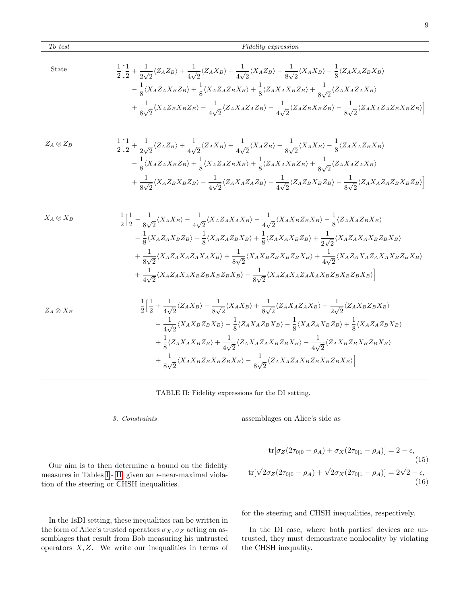State  
\n
$$
\frac{1}{2} \Big[ \frac{1}{2} + \frac{1}{2\sqrt{2}} \langle Z_A Z_B \rangle + \frac{1}{4\sqrt{2}} \langle Z_A X_B \rangle + \frac{1}{4\sqrt{2}} \langle X_A Z_B \rangle - \frac{1}{8\sqrt{2}} \langle X_A X_B \rangle - \frac{1}{8} \langle Z_A X_A Z_B X_B \rangle
$$
\n
$$
- \frac{1}{8} \langle X_A Z_A X_B Z_B \rangle + \frac{1}{8} \langle X_A Z_A Z_B X_B \rangle + \frac{1}{8} \langle Z_A X_A X_B Z_B \rangle + \frac{1}{8\sqrt{2}} \langle Z_A X_A Z_A X_B \rangle
$$
\n
$$
+ \frac{1}{8\sqrt{2}} \langle X_A Z_B X_B Z_B \rangle - \frac{1}{4\sqrt{2}} \langle Z_A X_A Z_A Z_B \rangle - \frac{1}{4\sqrt{2}} \langle Z_A Z_B X_B Z_B \rangle - \frac{1}{8\sqrt{2}} \langle Z_A X_A Z_A Z_B X_B Z_B \rangle \Big]
$$

$$
Z_A \otimes Z_B
$$
\n
$$
\frac{1}{2} \Big[ \frac{1}{2} + \frac{1}{2\sqrt{2}} \langle Z_A Z_B \rangle + \frac{1}{4\sqrt{2}} \langle Z_A X_B \rangle + \frac{1}{4\sqrt{2}} \langle X_A Z_B \rangle - \frac{1}{8\sqrt{2}} \langle X_A X_B \rangle - \frac{1}{8} \langle Z_A X_A Z_B X_B \rangle
$$
\n
$$
- \frac{1}{8} \langle X_A Z_A X_B Z_B \rangle + \frac{1}{8} \langle X_A Z_A Z_B X_B \rangle + \frac{1}{8} \langle Z_A X_A X_B Z_B \rangle + \frac{1}{8\sqrt{2}} \langle Z_A X_A Z_A X_B \rangle
$$
\n
$$
+ \frac{1}{8\sqrt{2}} \langle X_A Z_B X_B Z_B \rangle - \frac{1}{4\sqrt{2}} \langle Z_A X_A Z_A Z_B \rangle - \frac{1}{4\sqrt{2}} \langle Z_A Z_B X_B Z_B \rangle - \frac{1}{8\sqrt{2}} \langle Z_A X_A Z_A Z_B X_B Z_B \rangle \Big]
$$

$$
X_A \otimes X_B
$$
\n
$$
\frac{1}{2} \Big[ \frac{1}{2} - \frac{1}{8\sqrt{2}} \langle X_A X_B \rangle - \frac{1}{4\sqrt{2}} \langle X_A Z_A X_A X_B \rangle - \frac{1}{4\sqrt{2}} \langle X_A X_B Z_B X_B \rangle - \frac{1}{8} \langle Z_A X_A Z_B X_B \rangle
$$
\n
$$
- \frac{1}{8} \langle X_A Z_A X_B Z_B \rangle + \frac{1}{8} \langle X_A Z_A Z_B X_B \rangle + \frac{1}{8} \langle Z_A X_A X_B Z_B \rangle + \frac{1}{2\sqrt{2}} \langle X_A Z_A X_A X_B Z_B X_B \rangle
$$
\n
$$
+ \frac{1}{8\sqrt{2}} \langle X_A Z_A X_A Z_A X_A X_B \rangle + \frac{1}{8\sqrt{2}} \langle X_A X_B Z_B X_B Z_B X_B \rangle + \frac{1}{4\sqrt{2}} \langle X_A Z_A X_A Z_A X_A X_B Z_B X_B \rangle
$$
\n
$$
+ \frac{1}{4\sqrt{2}} \langle X_A Z_A X_A X_B Z_B X_B Z_B X_B \rangle - \frac{1}{8\sqrt{2}} \langle X_A Z_A X_A Z_A X_A X_B Z_B X_B \rangle \Big]
$$
\n
$$
1 \Big[ 1 + \frac{1}{2} \langle Z, X_A \rangle - \frac{1}{2} \langle X_A X_A X_B Z_B X_B \rangle + \frac{1}{2} \langle Z, X_A Z_A X_A X_B Z_B X_B \rangle \Big]
$$

$$
Z_A \otimes X_B
$$
\n
$$
\frac{1}{2} \Big[ \frac{1}{2} + \frac{1}{4\sqrt{2}} \langle Z_A X_B \rangle - \frac{1}{8\sqrt{2}} \langle X_A X_B \rangle + \frac{1}{8\sqrt{2}} \langle Z_A X_A Z_A X_B \rangle - \frac{1}{2\sqrt{2}} \langle Z_A X_B Z_B X_B \rangle - \frac{1}{4\sqrt{2}} \langle X_A X_B Z_B X_B \rangle - \frac{1}{8} \langle X_A Z_A Z_B X_B \rangle - \frac{1}{8} \langle X_A Z_A X_B Z_B \rangle + \frac{1}{8} \langle Z_A X_A X_B Z_B \rangle + \frac{1}{4\sqrt{2}} \langle Z_A X_A Z_A X_B Z_B X_B \rangle - \frac{1}{4\sqrt{2}} \langle Z_A X_B Z_B X_B Z_B X_B \rangle + \frac{1}{8\sqrt{2}} \langle X_A X_B Z_B X_B Z_B X_B \rangle - \frac{1}{8\sqrt{2}} \langle Z_A X_A Z_A X_B Z_B X_B Z_B X_B \rangle \Big]
$$

# <span id="page-8-0"></span>TABLE II: Fidelity expressions for the DI setting.

### 3. Constraints

Our aim is to then determine a bound on the fidelity measures in Tables [I](#page-7-1)- [II,](#page-8-0) given an  $\epsilon$ -near-maximal viola-

tion of the steering or CHSH inequalities.

assemblages on Alice's side as

$$
\text{tr}[\sigma_Z(2\tau_{0|0} - \rho_A) + \sigma_X(2\tau_{0|1} - \rho_A)] = 2 - \epsilon,
$$
\n(15)\n
$$
\text{tr}[\sqrt{2}\sigma_Z(2\tau_{0|0} - \rho_A) + \sqrt{2}\sigma_X(2\tau_{0|1} - \rho_A)] = 2\sqrt{2} - \epsilon,
$$
\n(16)

In the 1sDI setting, these inequalities can be written in the form of Alice's trusted operators  $\sigma_X, \sigma_Z$  acting on assemblages that result from Bob measuring his untrusted operators  $X, Z$ . We write our inequalities in terms of

for the steering and CHSH inequalities, respectively.

In the DI case, where both parties' devices are untrusted, they must demonstrate nonlocality by violating the CHSH inequality.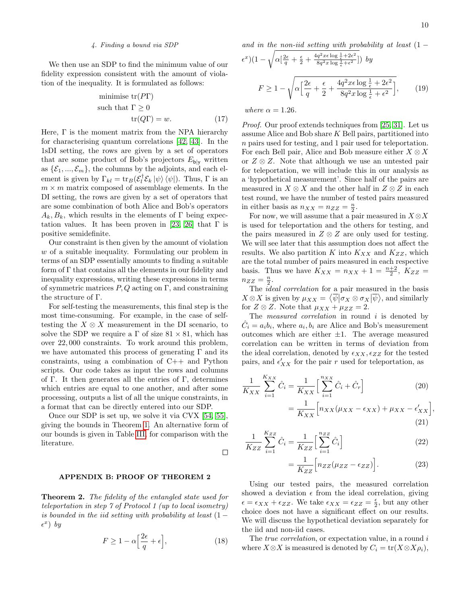### 4. Finding a bound via SDP

We then use an SDP to find the minimum value of our fidelity expression consistent with the amount of violation of the inequality. It is formulated as follows:

minimise tr(PT)  
such that 
$$
\Gamma \ge 0
$$
  
tr(QF) = w. (17)

Here,  $\Gamma$  is the moment matrix from the NPA hierarchy for characterising quantum correlations [\[42,](#page-5-21) [43\]](#page-5-22). In the 1sDI setting, the rows are given by a set of operators that are some product of Bob's projectors  $E_{\text{blv}}$  written as  $\{\mathcal{E}_1, ..., \mathcal{E}_m\}$ , the columns by the adjoints, and each element is given by  $\Gamma_{kl} = \text{tr}_B(\mathcal{E}_l^{\dagger})$  $\int_l^T \mathcal{E}_k |\psi\rangle \langle \psi|$ . Thus,  $\Gamma$  is an  $m \times m$  matrix composed of assemblage elements. In the DI setting, the rows are given by a set of operators that are some combination of both Alice and Bob's operators  $A_k, B_k$ , which results in the elements of Γ being expec-tation values. It has been proven in [\[23,](#page-5-11) [26\]](#page-5-8) that  $\Gamma$  is positive semidefinite.

Our constraint is then given by the amount of violation w of a suitable inequality. Formulating our problem in terms of an SDP essentially amounts to finding a suitable form of Γ that contains all the elements in our fidelity and inequality expressions, writing these expressions in terms of symmetric matrices  $P, Q$  acting on  $\Gamma$ , and constraining the structure of Γ.

For self-testing the measurements, this final step is the most time-consuming. For example, in the case of selftesting the  $X \otimes X$  measurement in the DI scenario, to solve the SDP we require a  $\Gamma$  of size 81  $\times$  81, which has over 22, 000 constraints. To work around this problem, we have automated this process of generating  $\Gamma$  and its constraints, using a combination of C++ and Python scripts. Our code takes as input the rows and columns of Γ. It then generates all the entries of Γ, determines which entries are equal to one another, and after some processing, outputs a list of all the unique constraints, in a format that can be directly entered into our SDP.

Once our SDP is set up, we solve it via CVX [\[54,](#page-6-10) [55\]](#page-6-11), giving the bounds in Theorem [1.](#page-0-0) An alternative form of our bounds is given in Table [III,](#page-10-0) for comparison with the literature.

### $\Box$

# APPENDIX B: PROOF OF THEOREM 2

**Theorem 2.** The fidelity of the entangled state used for teleportation in step 7 of Protocol 1 (up to local isometry) is bounded in the iid setting with probability at least  $(1 \epsilon^x$ ) by

$$
F \ge 1 - \alpha \left[ \frac{2\epsilon}{q} + \epsilon \right],\tag{18}
$$

and in the non-iid setting with probability at least 
$$
(1 - \epsilon^x)(1 - \sqrt{\alpha \left[\frac{2\epsilon}{q} + \frac{\epsilon}{2} + \frac{4q^2x\epsilon \log \frac{1}{\epsilon} + 2\epsilon^2}{8q^2x \log \frac{1}{\epsilon} + \epsilon^2}\right] }
$$
 by  

$$
F \ge 1 - \sqrt{\alpha \left[\frac{2\epsilon}{q} + \frac{\epsilon}{2} + \frac{4q^2x\epsilon \log \frac{1}{\epsilon} + 2\epsilon^2}{8q^2x \log \frac{1}{\epsilon} + \epsilon^2}\right] }, \qquad (19)
$$

<span id="page-9-0"></span>where  $\alpha = 1.26$ .

Proof. Our proof extends techniques from [\[25,](#page-5-7) [31\]](#page-5-14). Let us assume Alice and Bob share K Bell pairs, partitioned into n pairs used for testing, and 1 pair used for teleportation. For each Bell pair, Alice and Bob measure either  $X \otimes X$ or  $Z \otimes Z$ . Note that although we use an untested pair for teleportation, we will include this in our analysis as a 'hypothetical measurement'. Since half of the pairs are measured in  $X \otimes X$  and the other half in  $Z \otimes Z$  in each test round, we have the number of tested pairs measured in either basis as  $n_{XX} = n_{ZZ} = \frac{n}{2}$ .

For now, we will assume that a pair measured in  $X \otimes X$ is used for teleportation and the others for testing, and the pairs measured in  $Z \otimes Z$  are only used for testing. We will see later that this assumption does not affect the results. We also partition K into  $K_{XX}$  and  $K_{ZZ}$ , which are the total number of pairs measured in each respective basis. Thus we have  $K_{XX} = n_{XX} + 1 = \frac{n+2}{2}$ ,  $K_{ZZ} =$  $n_{ZZ} = \frac{n}{2}.$ 

The *ideal correlation* for a pair measured in the basis  $X \otimes X$  is given by  $\mu_{XX} = \langle \overline{\psi} | \sigma_X \otimes \sigma_X | \overline{\psi} \rangle$ , and similarly for  $Z \otimes Z$ . Note that  $\mu_{XX} + \mu_{ZZ} = 2$ .

The *measured correlation* in round  $i$  is denoted by  $\hat{C}_i = a_i b_i$ , where  $a_i, b_i$  are Alice and Bob's measurement outcomes which are either  $\pm 1$ . The average measured correlation can be written in terms of deviation from the ideal correlation, denoted by  $\epsilon_{XX}, \epsilon_{ZZ}$  for the tested pairs, and  $\epsilon'_{XX}$  for the pair r used for teleportation, as

$$
\frac{1}{K_{XX}} \sum_{i=1}^{K_{XX}} \hat{C}_i = \frac{1}{K_{XX}} \Big[ \sum_{i=1}^{n_{XX}} \hat{C}_i + \hat{C}_r \Big] \tag{20}
$$
\n
$$
= \frac{1}{K_{XX}} \Big[ n_{XX} (\mu_{XX} - \epsilon_{XX}) + \mu_{XX} - \epsilon_{XX}' \Big]
$$

$$
(21)
$$

<span id="page-9-2"></span><span id="page-9-1"></span>,

$$
\frac{1}{K_{ZZ}}\sum_{i=1}^{K_{ZZ}}\hat{C}_i = \frac{1}{K_{ZZ}}\Big[\sum_{i=1}^{n_{ZZ}}\hat{C}_i\Big]
$$
\n(22)

$$
=\frac{1}{K_{ZZ}}\Big[n_{ZZ}(\mu_{ZZ}-\epsilon_{ZZ})\Big].
$$
 (23)

Using our tested pairs, the measured correlation showed a deviation  $\epsilon$  from the ideal correlation, giving  $\epsilon = \epsilon_{XX} + \epsilon_{ZZ}$ . We take  $\epsilon_{XX} = \epsilon_{ZZ} = \frac{\epsilon}{2}$ , but any other choice does not have a significant effect on our results. We will discuss the hypothetical deviation separately for the iid and non-iid cases.

The *true correlation*, or expectation value, in a round i where  $X \otimes X$  is measured is denoted by  $C_i = \text{tr}(X \otimes X \rho_i)$ ,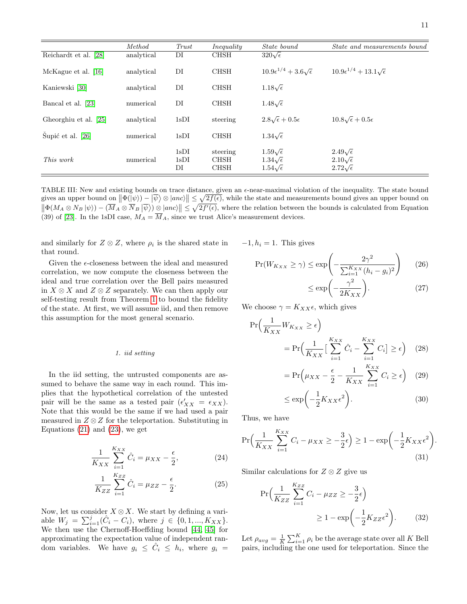|                       | Method     | Trust              | Inequality                             | <i>State bound</i>                                                      | <i>State and measurements bound</i>                                     |
|-----------------------|------------|--------------------|----------------------------------------|-------------------------------------------------------------------------|-------------------------------------------------------------------------|
| Reichardt et al. [28] | analytical | DI                 | <b>CHSH</b>                            | $320\sqrt{\epsilon}$                                                    |                                                                         |
| McKague et al. [16]   | analytical | DI                 | <b>CHSH</b>                            | $10.9\epsilon^{1/4} + 3.6\sqrt{\epsilon}$                               | $10.9\epsilon^{1/4} + 13.1\sqrt{\epsilon}$                              |
| Kaniewski [30]        | analytical | DI                 | <b>CHSH</b>                            | $1.18\sqrt{\epsilon}$                                                   |                                                                         |
| Bancal et al. [23]    | numerical  | DI                 | <b>CHSH</b>                            | $1.48\sqrt{\epsilon}$                                                   |                                                                         |
| Gheorghiu et al. [25] | analytical | 1sDI               | steering                               | $2.8\sqrt{\epsilon}+0.5\epsilon$                                        | $10.8\sqrt{\epsilon}+0.5\epsilon$                                       |
| Šupić et al. [26]     | numerical  | 1sDI               | <b>CHSH</b>                            | $1.34\sqrt{\epsilon}$                                                   |                                                                         |
| This work             | numerical  | 1sDI<br>1sDI<br>DI | steering<br><b>CHSH</b><br><b>CHSH</b> | $1.59\sqrt{\epsilon}$<br>$1.34\sqrt{\epsilon}$<br>$1.54\sqrt{\epsilon}$ | $2.49\sqrt{\epsilon}$<br>$2.10\sqrt{\epsilon}$<br>$2.72\sqrt{\epsilon}$ |

<span id="page-10-0"></span>TABLE III: New and existing bounds on trace distance, given an  $\epsilon$ -near-maximal violation of the inequality. The state bound gives an upper bound on  $\|\Phi(\ket{\psi}) - \ket{\overline{\psi}} \otimes |anc\rangle\| \leq \sqrt{2f(\epsilon)}$ , while the state and measurements bound gives an upper bound on  $\|\Phi(M_A \otimes N_B |\psi\rangle) - (\overline{M}_A \otimes \overline{N}_B |\overline{\psi}\rangle) \underline{\otimes} |anc\rangle\| \leq \sqrt{2f'(\epsilon)}$ , where the relation between the bounds is calculated from Equation (39) of [\[23\]](#page-5-11). In the 1sDI case,  $M_A = \overline{M}_A$ , since we trust Alice's measurement devices.

and similarly for  $Z \otimes Z$ , where  $\rho_i$  is the shared state in that round.

Given the  $\epsilon$ -closeness between the ideal and measured correlation, we now compute the closeness between the ideal and true correlation over the Bell pairs measured in  $X \otimes X$  and  $Z \otimes Z$  separately. We can then apply our self-testing result from Theorem [1](#page-0-0) to bound the fidelity of the state. At first, we will assume iid, and then remove this assumption for the most general scenario.

### 1. iid setting

In the iid setting, the untrusted components are assumed to behave the same way in each round. This implies that the hypothetical correlation of the untested pair will be the same as a tested pair  $(\epsilon'_{XX} = \epsilon_{XX})$ . Note that this would be the same if we had used a pair measured in  $Z \otimes Z$  for the teleportation. Substituting in Equations  $(21)$  and  $(23)$ , we get

$$
\frac{1}{K_{XX}} \sum_{i=1}^{K_{XX}} \hat{C}_i = \mu_{XX} - \frac{\epsilon}{2},\tag{24}
$$

$$
\frac{1}{K_{ZZ}}\sum_{i=1}^{K_{ZZ}}\hat{C}_i = \mu_{ZZ} - \frac{\epsilon}{2}.
$$
 (25)

Now, let us consider  $X \otimes X$ . We start by defining a variable  $W_j = \sum_{i=1}^j (\hat{C}_i - C_i)$ , where  $j \in \{0, 1, ..., K_{XX}\}.$ We then use the Chernoff-Hoeffding bound [\[44,](#page-5-23) [45\]](#page-5-24) for approximating the expectation value of independent random variables. We have  $g_i \leq \hat{C}_i \leq h_i$ , where  $g_i =$   $-1, h_i = 1$ . This gives

$$
\Pr(W_{K_{XX}} \ge \gamma) \le \exp\left(-\frac{2\gamma^2}{\sum_{i=1}^{K_{XX}} (h_i - g_i)^2}\right) \tag{26}
$$

$$
\leq \exp\biggl(-\frac{\gamma^2}{2K_{XX}}\biggr). \tag{27}
$$

We choose  $\gamma = K_{XX} \epsilon$ , which gives

$$
\Pr\left(\frac{1}{K_{XX}}W_{K_{XX}} \ge \epsilon\right)
$$
\n
$$
= \Pr\left(\frac{1}{K_{XX}}\left[\sum_{i=1}^{K_{XX}} \hat{C}_i - \sum_{i=1}^{K_{XX}} C_i\right] \ge \epsilon\right) \quad (28)
$$
\n
$$
= \Pr\left(\mu_{XX} - \frac{\epsilon}{2} - \frac{1}{K_{XX}} \sum_{i=1}^{K_{XX}} C_i \ge \epsilon\right) \quad (29)
$$

$$
= \Pr(\mu_{XX} - \frac{1}{2} - \frac{1}{K_{XX}} \sum_{i=1}^{N} C_i \ge \epsilon) \quad (29)
$$

$$
\le \exp\left(-\frac{1}{2}K_{XX}\epsilon^2\right). \tag{30}
$$

<span id="page-10-2"></span><span id="page-10-1"></span>.

Thus, we have

$$
\Pr\Big(\frac{1}{K_{XX}}\sum_{i=1}^{K_{XX}} C_i - \mu_{XX} \ge -\frac{3}{2}\epsilon\Big) \ge 1 - \exp\Big(-\frac{1}{2}K_{XX}\epsilon^2\Big) \tag{31}
$$

Similar calculations for  $Z \otimes Z$  give us

$$
\Pr\left(\frac{1}{K_{ZZ}}\sum_{i=1}^{K_{ZZ}}C_i - \mu_{ZZ} \ge -\frac{3}{2}\epsilon\right) \ge 1 - \exp\left(-\frac{1}{2}K_{ZZ}\epsilon^2\right).
$$
 (32)

Let  $\rho_{avg} = \frac{1}{K} \sum_{i=1}^{K} \rho_i$  be the average state over all K Bell pairs, including the one used for teleportation. Since the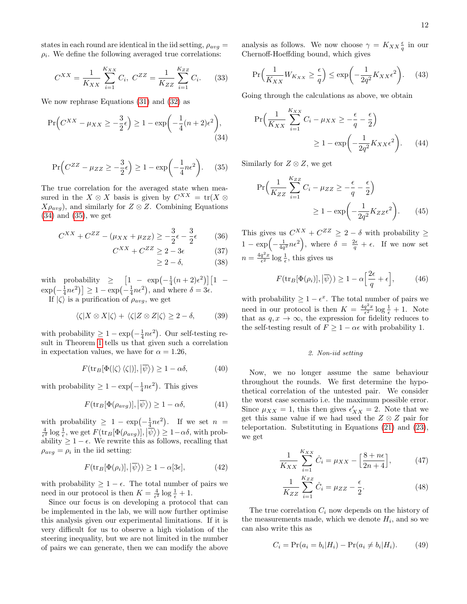states in each round are identical in the iid setting,  $\rho_{avg} =$  $\rho_i$ . We define the following averaged true correlations:

$$
C^{XX} = \frac{1}{K_{XX}} \sum_{i=1}^{K_{XX}} C_i, \ C^{ZZ} = \frac{1}{K_{ZZ}} \sum_{i=1}^{K_{ZZ}} C_i.
$$
 (33)

We now rephrase Equations [\(31\)](#page-10-1) and [\(32\)](#page-10-2) as

$$
\Pr\left(C^{XX} - \mu_{XX} \ge -\frac{3}{2}\epsilon\right) \ge 1 - \exp\left(-\frac{1}{4}(n+2)\epsilon^2\right),\tag{34}
$$

$$
\Pr\left(C^{ZZ} - \mu_{ZZ} \ge -\frac{3}{2}\epsilon\right) \ge 1 - \exp\left(-\frac{1}{4}n\epsilon^2\right). \tag{35}
$$

The true correlation for the averaged state when measured in the  $X \otimes X$  basis is given by  $C^{XX} = \text{tr}(X \otimes$  $X\rho_{avg}$ , and similarly for  $Z \otimes Z$ . Combining Equations [\(34\)](#page-11-0) and [\(35\)](#page-11-1), we get

$$
C^{XX} + C^{ZZ} - (\mu_{XX} + \mu_{ZZ}) \ge -\frac{3}{2}\epsilon - \frac{3}{2}\epsilon \tag{36}
$$

$$
C^{XX} + C^{ZZ} \ge 2 - 3\epsilon \tag{37}
$$

$$
\geq 2 - \delta, \tag{38}
$$

with probability  $\geq \left[1 - \exp\left(-\frac{1}{4}(n+2)\epsilon^2\right)\right]\left[1 - \epsilon\right]$  $\exp(-\frac{1}{4}n\epsilon^2)$   $\geq 1 - \exp(-\frac{1}{4}n\epsilon^2)$ , and where  $\delta = 3\epsilon$ . If  $|\zeta\rangle$  is a purification of  $\rho_{avg}$ , we get

$$
\langle \zeta | X \otimes X | \zeta \rangle + \langle \zeta | Z \otimes Z | \zeta \rangle \ge 2 - \delta, \tag{39}
$$

with probability  $\geq 1 - \exp(-\frac{1}{4}n\epsilon^2)$ . Our self-testing result in Theorem [1](#page-0-0) tells us that given such a correlation in expectation values, we have for  $\alpha = 1.26$ ,

$$
F(\text{tr}_B[\Phi(|\zeta\rangle\langle\zeta|)], |\overline{\psi}\rangle) \ge 1 - \alpha \delta,\tag{40}
$$

with probability  $\geq 1 - \exp(-\frac{1}{4}n\epsilon^2)$ . This gives

$$
F(\text{tr}_B[\Phi(\rho_{avg})], |\overline{\psi}\rangle) \ge 1 - \alpha \delta,
$$
 (41)

with probability  $\geq 1 - \exp(-\frac{1}{4}n\epsilon^2)$ . If we set  $n =$  $\frac{4}{\epsilon^2} \log \frac{1}{\epsilon}$ , we get  $F(\text{tr}_B[\Phi(\rho_{avg})], |\overline{\psi}\rangle) \geq 1 - \alpha \delta$ , with probability  $\geq 1 - \epsilon$ . We rewrite this as follows, recalling that  $\rho_{avg} = \rho_i$  in the iid setting:

$$
F(\text{tr}_B[\Phi(\rho_i)], |\overline{\psi}\rangle) \ge 1 - \alpha[3\epsilon],\tag{42}
$$

with probability  $\geq 1 - \epsilon$ . The total number of pairs we need in our protocol is then  $K = \frac{4}{\epsilon^2} \log \frac{1}{\epsilon} + 1$ .

Since our focus is on developing a protocol that can be implemented in the lab, we will now further optimise this analysis given our experimental limitations. If it is very difficult for us to observe a high violation of the steering inequality, but we are not limited in the number of pairs we can generate, then we can modify the above

analysis as follows. We now choose  $\gamma = K_{XX}\frac{\epsilon}{q}$  in our Chernoff-Hoeffding bound, which gives

$$
\Pr\left(\frac{1}{K_{XX}}W_{K_{XX}} \ge \frac{\epsilon}{q}\right) \le \exp\left(-\frac{1}{2q^2}K_{XX}\epsilon^2\right). \tag{43}
$$

Going through the calculations as above, we obtain

$$
\Pr\left(\frac{1}{K_{XX}}\sum_{i=1}^{K_{XX}} C_i - \mu_{XX} \ge -\frac{\epsilon}{q} - \frac{\epsilon}{2}\right) \ge 1 - \exp\left(-\frac{1}{2q^2}K_{XX}\epsilon^2\right). \tag{44}
$$

<span id="page-11-1"></span><span id="page-11-0"></span>Similarly for  $Z \otimes Z$ , we get

$$
\Pr\left(\frac{1}{K_{ZZ}}\sum_{i=1}^{K_{ZZ}}C_i - \mu_{ZZ} \ge -\frac{\epsilon}{q} - \frac{\epsilon}{2}\right)
$$

$$
\ge 1 - \exp\left(-\frac{1}{2q^2}K_{ZZ}\epsilon^2\right). \tag{45}
$$

This gives us  $C^{XX} + C^{ZZ} \geq 2 - \delta$  with probability  $\geq$  $1 - \exp\left(-\frac{1}{4q^2}n\epsilon^2\right)$ , where  $\delta = \frac{2\epsilon}{q} + \epsilon$ . If we now set  $n = \frac{4q^2x}{\epsilon^2} \log \frac{1}{\epsilon}$ , this gives us

$$
F(\text{tr}_B[\Phi(\rho_i)], |\overline{\psi}\rangle) \ge 1 - \alpha \Big[\frac{2\epsilon}{q} + \epsilon\Big],\tag{46}
$$

with probability  $\geq 1 - \epsilon^x$ . The total number of pairs we need in our protocol is then  $K = \frac{4q^2x}{\epsilon^2} \log \frac{1}{\epsilon} + 1$ . Note that as  $q, x \to \infty$ , the expression for fidelity reduces to the self-testing result of  $F \geq 1 - \alpha \epsilon$  with probability 1.

# 2. Non-iid setting

Now, we no longer assume the same behaviour throughout the rounds. We first determine the hypothetical correlation of the untested pair. We consider the worst case scenario i.e. the maximum possible error. Since  $\mu_{XX} = 1$ , this then gives  $\epsilon'_{XX} = 2$ . Note that we get this same value if we had used the  $Z \otimes Z$  pair for teleportation. Substituting in Equations [\(21\)](#page-9-1) and [\(23\)](#page-9-2), we get

$$
\frac{1}{K_{XX}}\sum_{i=1}^{K_{XX}}\hat{C}_i = \mu_{XX} - \left[\frac{8+n\epsilon}{2n+4}\right],\tag{47}
$$

$$
\frac{1}{K_{ZZ}}\sum_{i=1}^{K_{ZZ}}\hat{C}_i = \mu_{ZZ} - \frac{\epsilon}{2}.\tag{48}
$$

The true correlation  $C_i$  now depends on the history of the measurements made, which we denote  $H_i$ , and so we can also write this as

$$
C_i = \Pr(a_i = b_i | H_i) - \Pr(a_i \neq b_i | H_i).
$$
 (49)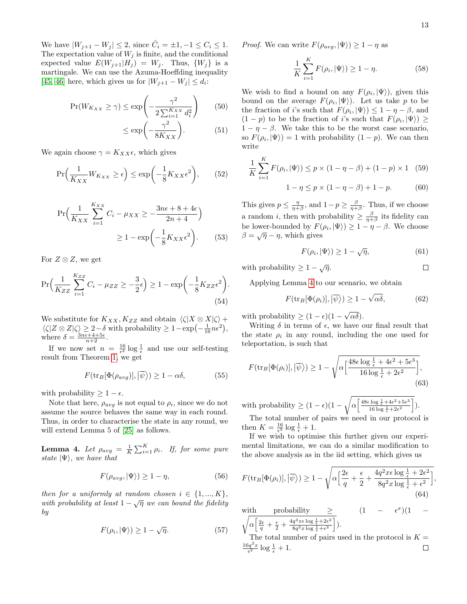$\Box$ 

We have  $|W_{j+1} - W_j| \le 2$ , since  $\hat{C}_i = \pm 1, -1 \le C_i \le 1$ . The expectation value of  $W_j$  is finite, and the conditional expected value  $E(W_{j+1}|H_j) = W_j$ . Thus,  $\{W_j\}$  is a martingale. We can use the Azuma-Hoeffding inequality [\[45,](#page-5-24) [46\]](#page-5-25) here, which gives us for  $|W_{j+1} - W_j| \le d_i$ :

$$
\Pr(W_{K_{XX}} \ge \gamma) \le \exp\left(-\frac{\gamma^2}{2\sum_{i=1}^{K_{XX}} d_i^2}\right) \qquad (50)
$$

$$
\le \exp\left(-\frac{\gamma^2}{8K_{XX}}\right). \qquad (51)
$$

We again choose  $\gamma = K_{XX} \epsilon$ , which gives

$$
\Pr\left(\frac{1}{K_{XX}}W_{K_{XX}} \ge \epsilon\right) \le \exp\left(-\frac{1}{8}K_{XX}\epsilon^2\right),\qquad(52)
$$

$$
\Pr\left(\frac{1}{K_{XX}}\sum_{i=1}^{K_{XX}} C_i - \mu_{XX} \ge -\frac{3n\epsilon + 8 + 4\epsilon}{2n + 4}\right) \ge 1 - \exp\left(-\frac{1}{8}K_{XX}\epsilon^2\right).
$$
 (53)

For  $Z \otimes Z$ , we get

$$
\Pr\Big(\frac{1}{K_{ZZ}}\sum_{i=1}^{K_{ZZ}}C_i - \mu_{ZZ} \ge -\frac{3}{2}\epsilon\Big) \ge 1 - \exp\Big(-\frac{1}{8}K_{ZZ}\epsilon^2\Big). \tag{54}
$$

We substitute for  $K_{XX}$ ,  $K_{ZZ}$  and obtain  $\langle \zeta | X \otimes X | \zeta \rangle +$  $\langle \zeta | Z \otimes Z | \zeta \rangle \geq 2 - \delta$  with probability  $\geq 1 - \exp(-\frac{1}{16}n\epsilon^2),$ where  $\delta = \frac{3n\epsilon + 4 + 5\epsilon}{n+2}$ .

If we now set  $n = \frac{16}{\epsilon^2} \log \frac{1}{\epsilon}$  and use our self-testing result from Theorem [1,](#page-0-0) we get

$$
F(\text{tr}_B[\Phi(\rho_{avg})], |\overline{\psi}\rangle) \ge 1 - \alpha \delta,
$$
 (55)

with probability  $\geq 1 - \epsilon$ .

Note that here,  $\rho_{avg}$  is not equal to  $\rho_i$ , since we do not assume the source behaves the same way in each round. Thus, in order to characterise the state in any round, we will extend Lemma 5 of [\[25\]](#page-5-7) as follows.

**Lemma 4.** Let  $\rho_{avg} = \frac{1}{K} \sum_{i=1}^{K} \rho_i$ . If, for some pure state  $|\Psi\rangle$ , we have that

$$
F(\rho_{avg}, |\Psi\rangle) \ge 1 - \eta,\tag{56}
$$

then for a uniformly at random chosen  $i \in \{1, ..., K\}$ , with probability at least  $1 - \sqrt{\eta}$  we can bound the fidelity by

$$
F(\rho_i, |\Psi\rangle) \ge 1 - \sqrt{\eta}.\tag{57}
$$

*Proof.* We can write  $F(\rho_{avg}, |\Psi\rangle) \geq 1 - \eta$  as

$$
\frac{1}{K} \sum_{i=1}^{K} F(\rho_i, |\Psi\rangle) \ge 1 - \eta.
$$
 (58)

We wish to find a bound on any  $F(\rho_i, |\Psi\rangle)$ , given this bound on the average  $F(\rho_i, |\Psi\rangle)$ . Let us take p to be the fraction of *i*'s such that  $F(\rho_i, |\Psi\rangle) \leq 1 - \eta - \beta$ , and  $(1-p)$  to be the fraction of i's such that  $F(\rho_i, |\Psi\rangle) \ge$  $1 - \eta - \beta$ . We take this to be the worst case scenario, so  $F(\rho_i, |\Psi\rangle) = 1$  with probability  $(1 - p)$ . We can then write

$$
\frac{1}{K} \sum_{i=1}^{K} F(\rho_i, |\Psi\rangle) \le p \times (1 - \eta - \beta) + (1 - p) \times 1 \quad (59)
$$

$$
1 - \eta \le p \times (1 - \eta - \beta) + 1 - p. \quad (60)
$$

This gives  $p \leq \frac{\eta}{\eta+\beta}$ , and  $1-p \geq \frac{\beta}{\eta+\beta}$ . Thus, if we choose a random *i*, then with probability  $\geq \frac{\beta}{\eta+\beta}$  its fidelity can be lower-bounded by  $F(\rho_i, |\Psi\rangle) \geq 1 - \eta - \beta$ . We choose  $\beta = \sqrt{\eta} - \eta$ , which gives

$$
F(\rho_i, |\Psi\rangle) \ge 1 - \sqrt{\eta},\tag{61}
$$

with probability  $\geq 1 - \sqrt{\eta}$ .

Applying Lemma [4](#page-12-0) to our scenario, we obtain

$$
F(\text{tr}_B[\Phi(\rho_i)], |\overline{\psi}\rangle) \ge 1 - \sqrt{\alpha \delta},\tag{62}
$$

with probability  $\geq (1 - \epsilon)(1 - \sqrt{\alpha \delta}).$ 

Writing  $\delta$  in terms of  $\epsilon$ , we have our final result that the state  $\rho_i$  in any round, including the one used for teleportation, is such that

$$
F(\text{tr}_B[\Phi(\rho_i)], |\overline{\psi}\rangle) \ge 1 - \sqrt{\alpha \left[\frac{48\epsilon \log \frac{1}{\epsilon} + 4\epsilon^2 + 5\epsilon^3}{16 \log \frac{1}{\epsilon} + 2\epsilon^2}\right]},
$$
\n(63)

with probability  $\geq (1 - \epsilon)(1 - \sqrt{\alpha \left[ \frac{48\epsilon \log \frac{1}{\epsilon} + 4\epsilon^2 + 5\epsilon^3}{16 \log \frac{1}{\epsilon} + 2\epsilon^2} \right] }$  $\frac{1}{2} \log \frac{1}{\epsilon} + 4\epsilon^2 + 5\epsilon^3$ <br> $\left[16 \log \frac{1}{\epsilon} + 2\epsilon^2\right]$ .

The total number of pairs we need in our protocol is then  $K = \frac{16}{\epsilon^2} \log \frac{1}{\epsilon} + 1$ .

If we wish to optimise this further given our experimental limitations, we can do a similar modification to the above analysis as in the iid setting, which gives us

$$
F(\text{tr}_B[\Phi(\rho_i)], |\overline{\psi}\rangle) \ge 1 - \sqrt{\alpha \left[\frac{2\epsilon}{q} + \frac{\epsilon}{2} + \frac{4q^2x\epsilon\log\frac{1}{\epsilon} + 2\epsilon^2}{8q^2x\log\frac{1}{\epsilon} + \epsilon^2}\right]},
$$
(64)

<span id="page-12-0"></span>with probability 
$$
\geq
$$
  $(1 - \epsilon^x)(1 -$   
\n $\sqrt{\alpha \left[ \frac{2\epsilon}{q} + \frac{\epsilon}{2} + \frac{4q^2x\epsilon \log \frac{1}{\epsilon} + 2\epsilon^2}{8q^2x \log \frac{1}{\epsilon} + \epsilon^2} \right]}.$ 

The total number of pairs used in the protocol is  $K =$  $\frac{16q^2x}{\epsilon^2}\log\frac{1}{\epsilon}+1.$  $\Box$